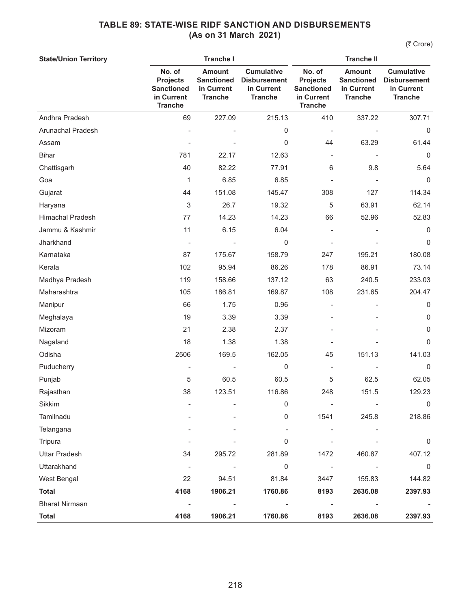| <b>State/Union Territory</b> |                                                                                | <b>Tranche I</b>                                                   |                                                                          | <b>Tranche II</b>                                                              |                                                                    |                                                                          |
|------------------------------|--------------------------------------------------------------------------------|--------------------------------------------------------------------|--------------------------------------------------------------------------|--------------------------------------------------------------------------------|--------------------------------------------------------------------|--------------------------------------------------------------------------|
|                              | No. of<br><b>Projects</b><br><b>Sanctioned</b><br>in Current<br><b>Tranche</b> | <b>Amount</b><br><b>Sanctioned</b><br>in Current<br><b>Tranche</b> | <b>Cumulative</b><br><b>Disbursement</b><br>in Current<br><b>Tranche</b> | No. of<br><b>Projects</b><br><b>Sanctioned</b><br>in Current<br><b>Tranche</b> | <b>Amount</b><br><b>Sanctioned</b><br>in Current<br><b>Tranche</b> | <b>Cumulative</b><br><b>Disbursement</b><br>in Current<br><b>Tranche</b> |
| Andhra Pradesh               | 69                                                                             | 227.09                                                             | 215.13                                                                   | 410                                                                            | 337.22                                                             | 307.71                                                                   |
| Arunachal Pradesh            |                                                                                |                                                                    | 0                                                                        |                                                                                |                                                                    | $\Omega$                                                                 |
| Assam                        |                                                                                |                                                                    | 0                                                                        | 44                                                                             | 63.29                                                              | 61.44                                                                    |
| <b>Bihar</b>                 | 781                                                                            | 22.17                                                              | 12.63                                                                    | $\overline{\phantom{a}}$                                                       |                                                                    | $\mathbf 0$                                                              |
| Chattisgarh                  | 40                                                                             | 82.22                                                              | 77.91                                                                    | 6                                                                              | 9.8                                                                | 5.64                                                                     |
| Goa                          | 1                                                                              | 6.85                                                               | 6.85                                                                     |                                                                                |                                                                    | 0                                                                        |
| Gujarat                      | 44                                                                             | 151.08                                                             | 145.47                                                                   | 308                                                                            | 127                                                                | 114.34                                                                   |
| Haryana                      | 3                                                                              | 26.7                                                               | 19.32                                                                    | 5                                                                              | 63.91                                                              | 62.14                                                                    |
| <b>Himachal Pradesh</b>      | 77                                                                             | 14.23                                                              | 14.23                                                                    | 66                                                                             | 52.96                                                              | 52.83                                                                    |
| Jammu & Kashmir              | 11                                                                             | 6.15                                                               | 6.04                                                                     |                                                                                |                                                                    | 0                                                                        |
| Jharkhand                    |                                                                                |                                                                    | 0                                                                        |                                                                                |                                                                    | $\mathbf 0$                                                              |
| Karnataka                    | 87                                                                             | 175.67                                                             | 158.79                                                                   | 247                                                                            | 195.21                                                             | 180.08                                                                   |
| Kerala                       | 102                                                                            | 95.94                                                              | 86.26                                                                    | 178                                                                            | 86.91                                                              | 73.14                                                                    |
| Madhya Pradesh               | 119                                                                            | 158.66                                                             | 137.12                                                                   | 63                                                                             | 240.5                                                              | 233.03                                                                   |
| Maharashtra                  | 105                                                                            | 186.81                                                             | 169.87                                                                   | 108                                                                            | 231.65                                                             | 204.47                                                                   |
| Manipur                      | 66                                                                             | 1.75                                                               | 0.96                                                                     |                                                                                |                                                                    | 0                                                                        |
| Meghalaya                    | 19                                                                             | 3.39                                                               | 3.39                                                                     |                                                                                |                                                                    | 0                                                                        |
| Mizoram                      | 21                                                                             | 2.38                                                               | 2.37                                                                     |                                                                                |                                                                    | 0                                                                        |
| Nagaland                     | 18                                                                             | 1.38                                                               | 1.38                                                                     |                                                                                |                                                                    | 0                                                                        |
| Odisha                       | 2506                                                                           | 169.5                                                              | 162.05                                                                   | 45                                                                             | 151.13                                                             | 141.03                                                                   |
| Puducherry                   |                                                                                |                                                                    | 0                                                                        | $\overline{\phantom{a}}$                                                       |                                                                    | $\mathbf 0$                                                              |
| Punjab                       | 5                                                                              | 60.5                                                               | 60.5                                                                     | 5                                                                              | 62.5                                                               | 62.05                                                                    |
| Rajasthan                    | 38                                                                             | 123.51                                                             | 116.86                                                                   | 248                                                                            | 151.5                                                              | 129.23                                                                   |
| Sikkim                       |                                                                                |                                                                    | 0                                                                        |                                                                                |                                                                    | $\mathbf 0$                                                              |
| Tamilnadu                    |                                                                                |                                                                    | 0                                                                        | 1541                                                                           | 245.8                                                              | 218.86                                                                   |
| Telangana                    |                                                                                |                                                                    |                                                                          |                                                                                |                                                                    |                                                                          |
| Tripura                      |                                                                                |                                                                    | 0                                                                        |                                                                                |                                                                    | 0                                                                        |
| <b>Uttar Pradesh</b>         | 34                                                                             | 295.72                                                             | 281.89                                                                   | 1472                                                                           | 460.87                                                             | 407.12                                                                   |
| Uttarakhand                  |                                                                                | ÷,                                                                 | $\mathsf{O}\xspace$                                                      | $\overline{\phantom{a}}$                                                       |                                                                    | 0                                                                        |
| West Bengal                  | 22                                                                             | 94.51                                                              | 81.84                                                                    | 3447                                                                           | 155.83                                                             | 144.82                                                                   |
| <b>Total</b>                 | 4168                                                                           | 1906.21                                                            | 1760.86                                                                  | 8193                                                                           | 2636.08                                                            | 2397.93                                                                  |
| <b>Bharat Nirmaan</b>        |                                                                                |                                                                    |                                                                          | $\overline{\phantom{a}}$                                                       |                                                                    |                                                                          |
| <b>Total</b>                 | 4168                                                                           | 1906.21                                                            | 1760.86                                                                  | 8193                                                                           | 2636.08                                                            | 2397.93                                                                  |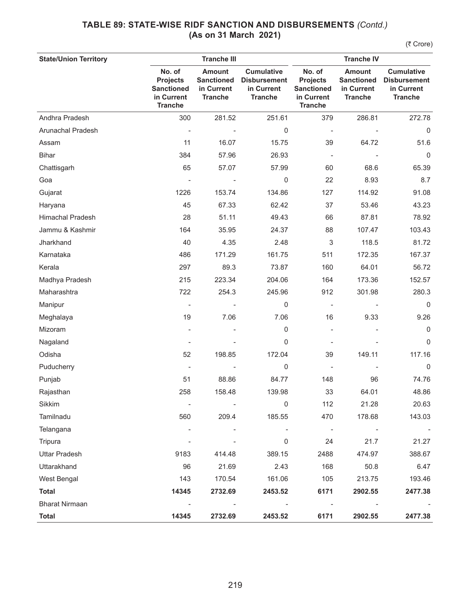| <b>State/Union Territory</b> |                                                                                | <b>Tranche III</b>                                                 |                                                                          | <b>Tranche IV</b>                                                              |                                                                    |                                                                          |
|------------------------------|--------------------------------------------------------------------------------|--------------------------------------------------------------------|--------------------------------------------------------------------------|--------------------------------------------------------------------------------|--------------------------------------------------------------------|--------------------------------------------------------------------------|
|                              | No. of<br><b>Projects</b><br><b>Sanctioned</b><br>in Current<br><b>Tranche</b> | <b>Amount</b><br><b>Sanctioned</b><br>in Current<br><b>Tranche</b> | <b>Cumulative</b><br><b>Disbursement</b><br>in Current<br><b>Tranche</b> | No. of<br><b>Projects</b><br><b>Sanctioned</b><br>in Current<br><b>Tranche</b> | <b>Amount</b><br><b>Sanctioned</b><br>in Current<br><b>Tranche</b> | <b>Cumulative</b><br><b>Disbursement</b><br>in Current<br><b>Tranche</b> |
| Andhra Pradesh               | 300                                                                            | 281.52                                                             | 251.61                                                                   | 379                                                                            | 286.81                                                             | 272.78                                                                   |
| Arunachal Pradesh            | $\overline{\phantom{a}}$                                                       |                                                                    | 0                                                                        | $\overline{\phantom{a}}$                                                       |                                                                    | $\Omega$                                                                 |
| Assam                        | 11                                                                             | 16.07                                                              | 15.75                                                                    | 39                                                                             | 64.72                                                              | 51.6                                                                     |
| <b>Bihar</b>                 | 384                                                                            | 57.96                                                              | 26.93                                                                    | ÷,                                                                             |                                                                    | 0                                                                        |
| Chattisgarh                  | 65                                                                             | 57.07                                                              | 57.99                                                                    | 60                                                                             | 68.6                                                               | 65.39                                                                    |
| Goa                          |                                                                                |                                                                    | 0                                                                        | 22                                                                             | 8.93                                                               | 8.7                                                                      |
| Gujarat                      | 1226                                                                           | 153.74                                                             | 134.86                                                                   | 127                                                                            | 114.92                                                             | 91.08                                                                    |
| Haryana                      | 45                                                                             | 67.33                                                              | 62.42                                                                    | 37                                                                             | 53.46                                                              | 43.23                                                                    |
| Himachal Pradesh             | 28                                                                             | 51.11                                                              | 49.43                                                                    | 66                                                                             | 87.81                                                              | 78.92                                                                    |
| Jammu & Kashmir              | 164                                                                            | 35.95                                                              | 24.37                                                                    | 88                                                                             | 107.47                                                             | 103.43                                                                   |
| Jharkhand                    | 40                                                                             | 4.35                                                               | 2.48                                                                     | 3                                                                              | 118.5                                                              | 81.72                                                                    |
| Karnataka                    | 486                                                                            | 171.29                                                             | 161.75                                                                   | 511                                                                            | 172.35                                                             | 167.37                                                                   |
| Kerala                       | 297                                                                            | 89.3                                                               | 73.87                                                                    | 160                                                                            | 64.01                                                              | 56.72                                                                    |
| Madhya Pradesh               | 215                                                                            | 223.34                                                             | 204.06                                                                   | 164                                                                            | 173.36                                                             | 152.57                                                                   |
| Maharashtra                  | 722                                                                            | 254.3                                                              | 245.96                                                                   | 912                                                                            | 301.98                                                             | 280.3                                                                    |
| Manipur                      |                                                                                |                                                                    | 0                                                                        |                                                                                |                                                                    | 0                                                                        |
| Meghalaya                    | 19                                                                             | 7.06                                                               | 7.06                                                                     | 16                                                                             | 9.33                                                               | 9.26                                                                     |
| Mizoram                      |                                                                                |                                                                    | 0                                                                        |                                                                                |                                                                    | $\mathbf 0$                                                              |
| Nagaland                     |                                                                                |                                                                    | 0                                                                        |                                                                                |                                                                    | $\Omega$                                                                 |
| Odisha                       | 52                                                                             | 198.85                                                             | 172.04                                                                   | 39                                                                             | 149.11                                                             | 117.16                                                                   |
| Puducherry                   |                                                                                |                                                                    | 0                                                                        |                                                                                |                                                                    | 0                                                                        |
| Punjab                       | 51                                                                             | 88.86                                                              | 84.77                                                                    | 148                                                                            | 96                                                                 | 74.76                                                                    |
| Rajasthan                    | 258                                                                            | 158.48                                                             | 139.98                                                                   | 33                                                                             | 64.01                                                              | 48.86                                                                    |
| Sikkim                       |                                                                                |                                                                    | 0                                                                        | 112                                                                            | 21.28                                                              | 20.63                                                                    |
| Tamilnadu                    | 560                                                                            | 209.4                                                              | 185.55                                                                   | 470                                                                            | 178.68                                                             | 143.03                                                                   |
| Telangana                    |                                                                                |                                                                    |                                                                          | $\overline{\phantom{a}}$                                                       |                                                                    |                                                                          |
| Tripura                      |                                                                                |                                                                    | 0                                                                        | 24                                                                             | 21.7                                                               | 21.27                                                                    |
| <b>Uttar Pradesh</b>         | 9183                                                                           | 414.48                                                             | 389.15                                                                   | 2488                                                                           | 474.97                                                             | 388.67                                                                   |
| Uttarakhand                  | 96                                                                             | 21.69                                                              | 2.43                                                                     | 168                                                                            | 50.8                                                               | 6.47                                                                     |
| West Bengal                  | 143                                                                            | 170.54                                                             | 161.06                                                                   | 105                                                                            | 213.75                                                             | 193.46                                                                   |
| <b>Total</b>                 | 14345                                                                          | 2732.69                                                            | 2453.52                                                                  | 6171                                                                           | 2902.55                                                            | 2477.38                                                                  |
| <b>Bharat Nirmaan</b>        |                                                                                |                                                                    | $\overline{a}$                                                           |                                                                                |                                                                    |                                                                          |
| <b>Total</b>                 | 14345                                                                          | 2732.69                                                            | 2453.52                                                                  | 6171                                                                           | 2902.55                                                            | 2477.38                                                                  |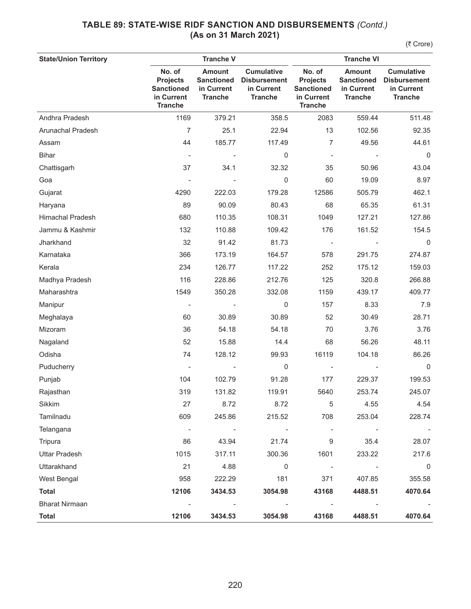| <b>State/Union Territory</b> |                                                                                | <b>Tranche V</b>                                                   |                                                                          | <b>Tranche VI</b>                                                              |                                                                    |                                                                          |
|------------------------------|--------------------------------------------------------------------------------|--------------------------------------------------------------------|--------------------------------------------------------------------------|--------------------------------------------------------------------------------|--------------------------------------------------------------------|--------------------------------------------------------------------------|
|                              | No. of<br><b>Projects</b><br><b>Sanctioned</b><br>in Current<br><b>Tranche</b> | <b>Amount</b><br><b>Sanctioned</b><br>in Current<br><b>Tranche</b> | <b>Cumulative</b><br><b>Disbursement</b><br>in Current<br><b>Tranche</b> | No. of<br><b>Projects</b><br><b>Sanctioned</b><br>in Current<br><b>Tranche</b> | <b>Amount</b><br><b>Sanctioned</b><br>in Current<br><b>Tranche</b> | <b>Cumulative</b><br><b>Disbursement</b><br>in Current<br><b>Tranche</b> |
| Andhra Pradesh               | 1169                                                                           | 379.21                                                             | 358.5                                                                    | 2083                                                                           | 559.44                                                             | 511.48                                                                   |
| Arunachal Pradesh            | $\overline{7}$                                                                 | 25.1                                                               | 22.94                                                                    | 13                                                                             | 102.56                                                             | 92.35                                                                    |
| Assam                        | 44                                                                             | 185.77                                                             | 117.49                                                                   | $\overline{7}$                                                                 | 49.56                                                              | 44.61                                                                    |
| <b>Bihar</b>                 |                                                                                |                                                                    | 0                                                                        | $\qquad \qquad \blacksquare$                                                   |                                                                    | 0                                                                        |
| Chattisgarh                  | 37                                                                             | 34.1                                                               | 32.32                                                                    | 35                                                                             | 50.96                                                              | 43.04                                                                    |
| Goa                          |                                                                                |                                                                    | $\mathsf{O}\xspace$                                                      | 60                                                                             | 19.09                                                              | 8.97                                                                     |
| Gujarat                      | 4290                                                                           | 222.03                                                             | 179.28                                                                   | 12586                                                                          | 505.79                                                             | 462.1                                                                    |
| Haryana                      | 89                                                                             | 90.09                                                              | 80.43                                                                    | 68                                                                             | 65.35                                                              | 61.31                                                                    |
| <b>Himachal Pradesh</b>      | 680                                                                            | 110.35                                                             | 108.31                                                                   | 1049                                                                           | 127.21                                                             | 127.86                                                                   |
| Jammu & Kashmir              | 132                                                                            | 110.88                                                             | 109.42                                                                   | 176                                                                            | 161.52                                                             | 154.5                                                                    |
| Jharkhand                    | 32                                                                             | 91.42                                                              | 81.73                                                                    | $\overline{\phantom{a}}$                                                       |                                                                    | 0                                                                        |
| Karnataka                    | 366                                                                            | 173.19                                                             | 164.57                                                                   | 578                                                                            | 291.75                                                             | 274.87                                                                   |
| Kerala                       | 234                                                                            | 126.77                                                             | 117.22                                                                   | 252                                                                            | 175.12                                                             | 159.03                                                                   |
| Madhya Pradesh               | 116                                                                            | 228.86                                                             | 212.76                                                                   | 125                                                                            | 320.8                                                              | 266.88                                                                   |
| Maharashtra                  | 1549                                                                           | 350.28                                                             | 332.08                                                                   | 1159                                                                           | 439.17                                                             | 409.77                                                                   |
| Manipur                      |                                                                                |                                                                    | $\mathbf 0$                                                              | 157                                                                            | 8.33                                                               | 7.9                                                                      |
| Meghalaya                    | 60                                                                             | 30.89                                                              | 30.89                                                                    | 52                                                                             | 30.49                                                              | 28.71                                                                    |
| Mizoram                      | 36                                                                             | 54.18                                                              | 54.18                                                                    | 70                                                                             | 3.76                                                               | 3.76                                                                     |
| Nagaland                     | 52                                                                             | 15.88                                                              | 14.4                                                                     | 68                                                                             | 56.26                                                              | 48.11                                                                    |
| Odisha                       | 74                                                                             | 128.12                                                             | 99.93                                                                    | 16119                                                                          | 104.18                                                             | 86.26                                                                    |
| Puducherry                   |                                                                                |                                                                    | 0                                                                        |                                                                                |                                                                    | $\mathbf 0$                                                              |
| Punjab                       | 104                                                                            | 102.79                                                             | 91.28                                                                    | 177                                                                            | 229.37                                                             | 199.53                                                                   |
| Rajasthan                    | 319                                                                            | 131.82                                                             | 119.91                                                                   | 5640                                                                           | 253.74                                                             | 245.07                                                                   |
| Sikkim                       | 27                                                                             | 8.72                                                               | 8.72                                                                     | 5                                                                              | 4.55                                                               | 4.54                                                                     |
| Tamilnadu                    | 609                                                                            | 245.86                                                             | 215.52                                                                   | 708                                                                            | 253.04                                                             | 228.74                                                                   |
| Telangana                    | $\overline{\phantom{a}}$                                                       | $\overline{\phantom{a}}$                                           | $\overline{\phantom{m}}$                                                 | $\overline{\phantom{a}}$                                                       |                                                                    |                                                                          |
| Tripura                      | 86                                                                             | 43.94                                                              | 21.74                                                                    | 9                                                                              | 35.4                                                               | 28.07                                                                    |
| <b>Uttar Pradesh</b>         | 1015                                                                           | 317.11                                                             | 300.36                                                                   | 1601                                                                           | 233.22                                                             | 217.6                                                                    |
| Uttarakhand                  | 21                                                                             | 4.88                                                               | 0                                                                        | $\overline{\phantom{a}}$                                                       |                                                                    | 0                                                                        |
| West Bengal                  | 958                                                                            | 222.29                                                             | 181                                                                      | 371                                                                            | 407.85                                                             | 355.58                                                                   |
| <b>Total</b>                 | 12106                                                                          | 3434.53                                                            | 3054.98                                                                  | 43168                                                                          | 4488.51                                                            | 4070.64                                                                  |
| <b>Bharat Nirmaan</b>        |                                                                                |                                                                    |                                                                          |                                                                                |                                                                    |                                                                          |
| <b>Total</b>                 | 12106                                                                          | 3434.53                                                            | 3054.98                                                                  | 43168                                                                          | 4488.51                                                            | 4070.64                                                                  |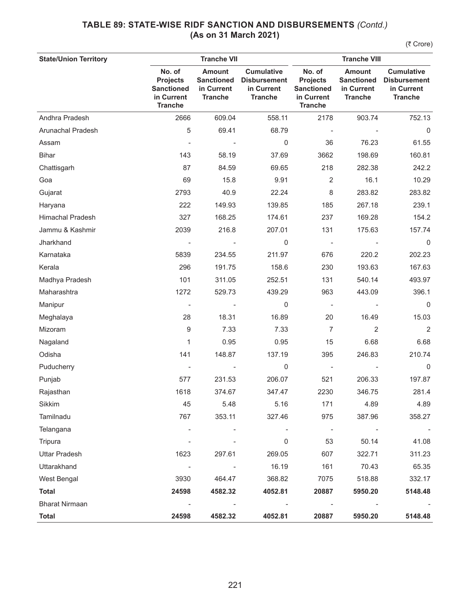| <b>State/Union Territory</b> |                                                                                | <b>Tranche VII</b>                                                 |                                                                          | <b>Tranche VIII</b>                                                            |                                                                    |                                                                          |
|------------------------------|--------------------------------------------------------------------------------|--------------------------------------------------------------------|--------------------------------------------------------------------------|--------------------------------------------------------------------------------|--------------------------------------------------------------------|--------------------------------------------------------------------------|
|                              | No. of<br><b>Projects</b><br><b>Sanctioned</b><br>in Current<br><b>Tranche</b> | <b>Amount</b><br><b>Sanctioned</b><br>in Current<br><b>Tranche</b> | <b>Cumulative</b><br><b>Disbursement</b><br>in Current<br><b>Tranche</b> | No. of<br><b>Projects</b><br><b>Sanctioned</b><br>in Current<br><b>Tranche</b> | <b>Amount</b><br><b>Sanctioned</b><br>in Current<br><b>Tranche</b> | <b>Cumulative</b><br><b>Disbursement</b><br>in Current<br><b>Tranche</b> |
| Andhra Pradesh               | 2666                                                                           | 609.04                                                             | 558.11                                                                   | 2178                                                                           | 903.74                                                             | 752.13                                                                   |
| Arunachal Pradesh            | 5                                                                              | 69.41                                                              | 68.79                                                                    |                                                                                |                                                                    | 0                                                                        |
| Assam                        |                                                                                |                                                                    | $\mathbf 0$                                                              | 36                                                                             | 76.23                                                              | 61.55                                                                    |
| <b>Bihar</b>                 | 143                                                                            | 58.19                                                              | 37.69                                                                    | 3662                                                                           | 198.69                                                             | 160.81                                                                   |
| Chattisgarh                  | 87                                                                             | 84.59                                                              | 69.65                                                                    | 218                                                                            | 282.38                                                             | 242.2                                                                    |
| Goa                          | 69                                                                             | 15.8                                                               | 9.91                                                                     | 2                                                                              | 16.1                                                               | 10.29                                                                    |
| Gujarat                      | 2793                                                                           | 40.9                                                               | 22.24                                                                    | 8                                                                              | 283.82                                                             | 283.82                                                                   |
| Haryana                      | 222                                                                            | 149.93                                                             | 139.85                                                                   | 185                                                                            | 267.18                                                             | 239.1                                                                    |
| Himachal Pradesh             | 327                                                                            | 168.25                                                             | 174.61                                                                   | 237                                                                            | 169.28                                                             | 154.2                                                                    |
| Jammu & Kashmir              | 2039                                                                           | 216.8                                                              | 207.01                                                                   | 131                                                                            | 175.63                                                             | 157.74                                                                   |
| Jharkhand                    |                                                                                |                                                                    | 0                                                                        | $\qquad \qquad \blacksquare$                                                   |                                                                    | 0                                                                        |
| Karnataka                    | 5839                                                                           | 234.55                                                             | 211.97                                                                   | 676                                                                            | 220.2                                                              | 202.23                                                                   |
| Kerala                       | 296                                                                            | 191.75                                                             | 158.6                                                                    | 230                                                                            | 193.63                                                             | 167.63                                                                   |
| Madhya Pradesh               | 101                                                                            | 311.05                                                             | 252.51                                                                   | 131                                                                            | 540.14                                                             | 493.97                                                                   |
| Maharashtra                  | 1272                                                                           | 529.73                                                             | 439.29                                                                   | 963                                                                            | 443.09                                                             | 396.1                                                                    |
| Manipur                      |                                                                                |                                                                    | 0                                                                        |                                                                                |                                                                    | 0                                                                        |
| Meghalaya                    | 28                                                                             | 18.31                                                              | 16.89                                                                    | 20                                                                             | 16.49                                                              | 15.03                                                                    |
| Mizoram                      | 9                                                                              | 7.33                                                               | 7.33                                                                     | $\overline{7}$                                                                 | 2                                                                  | $\overline{2}$                                                           |
| Nagaland                     | 1                                                                              | 0.95                                                               | 0.95                                                                     | 15                                                                             | 6.68                                                               | 6.68                                                                     |
| Odisha                       | 141                                                                            | 148.87                                                             | 137.19                                                                   | 395                                                                            | 246.83                                                             | 210.74                                                                   |
| Puducherry                   |                                                                                |                                                                    | 0                                                                        | $\qquad \qquad \blacksquare$                                                   |                                                                    | $\mathbf 0$                                                              |
| Punjab                       | 577                                                                            | 231.53                                                             | 206.07                                                                   | 521                                                                            | 206.33                                                             | 197.87                                                                   |
| Rajasthan                    | 1618                                                                           | 374.67                                                             | 347.47                                                                   | 2230                                                                           | 346.75                                                             | 281.4                                                                    |
| Sikkim                       | 45                                                                             | 5.48                                                               | 5.16                                                                     | 171                                                                            | 4.89                                                               | 4.89                                                                     |
| Tamilnadu                    | 767                                                                            | 353.11                                                             | 327.46                                                                   | 975                                                                            | 387.96                                                             | 358.27                                                                   |
| Telangana                    |                                                                                |                                                                    |                                                                          | $\overline{\phantom{a}}$                                                       |                                                                    |                                                                          |
| Tripura                      |                                                                                |                                                                    | 0                                                                        | 53                                                                             | 50.14                                                              | 41.08                                                                    |
| <b>Uttar Pradesh</b>         | 1623                                                                           | 297.61                                                             | 269.05                                                                   | 607                                                                            | 322.71                                                             | 311.23                                                                   |
| Uttarakhand                  | $\overline{\phantom{a}}$                                                       | $\overline{\phantom{a}}$                                           | 16.19                                                                    | 161                                                                            | 70.43                                                              | 65.35                                                                    |
| West Bengal                  | 3930                                                                           | 464.47                                                             | 368.82                                                                   | 7075                                                                           | 518.88                                                             | 332.17                                                                   |
| <b>Total</b>                 | 24598                                                                          | 4582.32                                                            | 4052.81                                                                  | 20887                                                                          | 5950.20                                                            | 5148.48                                                                  |
| <b>Bharat Nirmaan</b>        |                                                                                |                                                                    |                                                                          |                                                                                |                                                                    |                                                                          |
| <b>Total</b>                 | 24598                                                                          | 4582.32                                                            | 4052.81                                                                  | 20887                                                                          | 5950.20                                                            | 5148.48                                                                  |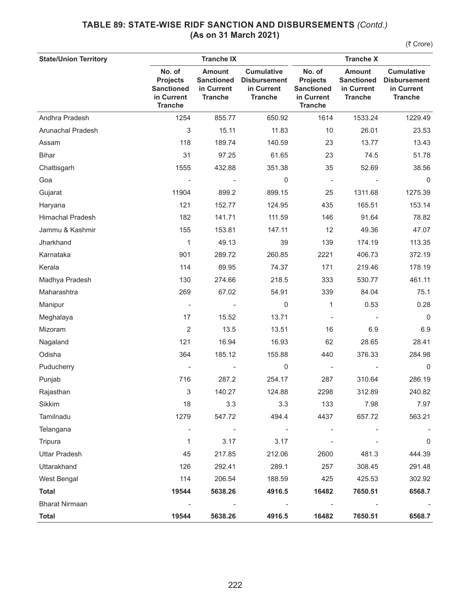| <b>State/Union Territory</b> |                                                                                | <b>Tranche IX</b>                                                  | <b>Tranche X</b>                                                         |                                                                                |                                                                    |                                                                          |
|------------------------------|--------------------------------------------------------------------------------|--------------------------------------------------------------------|--------------------------------------------------------------------------|--------------------------------------------------------------------------------|--------------------------------------------------------------------|--------------------------------------------------------------------------|
|                              | No. of<br><b>Projects</b><br><b>Sanctioned</b><br>in Current<br><b>Tranche</b> | <b>Amount</b><br><b>Sanctioned</b><br>in Current<br><b>Tranche</b> | <b>Cumulative</b><br><b>Disbursement</b><br>in Current<br><b>Tranche</b> | No. of<br><b>Projects</b><br><b>Sanctioned</b><br>in Current<br><b>Tranche</b> | <b>Amount</b><br><b>Sanctioned</b><br>in Current<br><b>Tranche</b> | <b>Cumulative</b><br><b>Disbursement</b><br>in Current<br><b>Tranche</b> |
| Andhra Pradesh               | 1254                                                                           | 855.77                                                             | 650.92                                                                   | 1614                                                                           | 1533.24                                                            | 1229.49                                                                  |
| Arunachal Pradesh            | 3                                                                              | 15.11                                                              | 11.83                                                                    | 10                                                                             | 26.01                                                              | 23.53                                                                    |
| Assam                        | 118                                                                            | 189.74                                                             | 140.59                                                                   | 23                                                                             | 13.77                                                              | 13.43                                                                    |
| <b>Bihar</b>                 | 31                                                                             | 97.25                                                              | 61.65                                                                    | 23                                                                             | 74.5                                                               | 51.78                                                                    |
| Chattisgarh                  | 1555                                                                           | 432.88                                                             | 351.38                                                                   | 35                                                                             | 52.69                                                              | 38.56                                                                    |
| Goa                          |                                                                                |                                                                    | $\mathbf 0$                                                              | $\overline{\phantom{a}}$                                                       |                                                                    | $\mathbf 0$                                                              |
| Gujarat                      | 11904                                                                          | 899.2                                                              | 899.15                                                                   | 25                                                                             | 1311.68                                                            | 1275.39                                                                  |
| Haryana                      | 121                                                                            | 152.77                                                             | 124.95                                                                   | 435                                                                            | 165.51                                                             | 153.14                                                                   |
| <b>Himachal Pradesh</b>      | 182                                                                            | 141.71                                                             | 111.59                                                                   | 146                                                                            | 91.64                                                              | 78.82                                                                    |
| Jammu & Kashmir              | 155                                                                            | 153.81                                                             | 147.11                                                                   | 12                                                                             | 49.36                                                              | 47.07                                                                    |
| Jharkhand                    | 1                                                                              | 49.13                                                              | 39                                                                       | 139                                                                            | 174.19                                                             | 113.35                                                                   |
| Karnataka                    | 901                                                                            | 289.72                                                             | 260.85                                                                   | 2221                                                                           | 406.73                                                             | 372.19                                                                   |
| Kerala                       | 114                                                                            | 89.95                                                              | 74.37                                                                    | 171                                                                            | 219.46                                                             | 178.19                                                                   |
| Madhya Pradesh               | 130                                                                            | 274.66                                                             | 218.5                                                                    | 333                                                                            | 530.77                                                             | 461.11                                                                   |
| Maharashtra                  | 269                                                                            | 67.02                                                              | 54.91                                                                    | 339                                                                            | 84.04                                                              | 75.1                                                                     |
| Manipur                      | $\overline{\phantom{a}}$                                                       |                                                                    | $\mathbf 0$                                                              | 1                                                                              | 0.53                                                               | 0.28                                                                     |
| Meghalaya                    | 17                                                                             | 15.52                                                              | 13.71                                                                    |                                                                                |                                                                    | $\mathbf 0$                                                              |
| Mizoram                      | $\overline{2}$                                                                 | 13.5                                                               | 13.51                                                                    | 16                                                                             | 6.9                                                                | 6.9                                                                      |
| Nagaland                     | 121                                                                            | 16.94                                                              | 16.93                                                                    | 62                                                                             | 28.65                                                              | 28.41                                                                    |
| Odisha                       | 364                                                                            | 185.12                                                             | 155.88                                                                   | 440                                                                            | 376.33                                                             | 284.98                                                                   |
| Puducherry                   |                                                                                |                                                                    | 0                                                                        | $\overline{\phantom{m}}$                                                       |                                                                    | $\mathbf 0$                                                              |
| Punjab                       | 716                                                                            | 287.2                                                              | 254.17                                                                   | 287                                                                            | 310.64                                                             | 286.19                                                                   |
| Rajasthan                    | 3                                                                              | 140.27                                                             | 124.88                                                                   | 2298                                                                           | 312.89                                                             | 240.82                                                                   |
| Sikkim                       | 18                                                                             | 3.3                                                                | 3.3                                                                      | 133                                                                            | 7.98                                                               | 7.97                                                                     |
| Tamilnadu                    | 1279                                                                           | 547.72                                                             | 494.4                                                                    | 4437                                                                           | 657.72                                                             | 563.21                                                                   |
| Telangana                    | $\overline{\phantom{a}}$                                                       | $\overline{\phantom{a}}$                                           | $\qquad \qquad \blacksquare$                                             |                                                                                |                                                                    |                                                                          |
| Tripura                      | 1                                                                              | 3.17                                                               | 3.17                                                                     |                                                                                |                                                                    | 0                                                                        |
| <b>Uttar Pradesh</b>         | 45                                                                             | 217.85                                                             | 212.06                                                                   | 2600                                                                           | 481.3                                                              | 444.39                                                                   |
| Uttarakhand                  | 126                                                                            | 292.41                                                             | 289.1                                                                    | 257                                                                            | 308.45                                                             | 291.48                                                                   |
| West Bengal                  | 114                                                                            | 206.54                                                             | 188.59                                                                   | 425                                                                            | 425.53                                                             | 302.92                                                                   |
| <b>Total</b>                 | 19544                                                                          | 5638.26                                                            | 4916.5                                                                   | 16482                                                                          | 7650.51                                                            | 6568.7                                                                   |
| <b>Bharat Nirmaan</b>        |                                                                                |                                                                    |                                                                          |                                                                                |                                                                    |                                                                          |
| <b>Total</b>                 | 19544                                                                          | 5638.26                                                            | 4916.5                                                                   | 16482                                                                          | 7650.51                                                            | 6568.7                                                                   |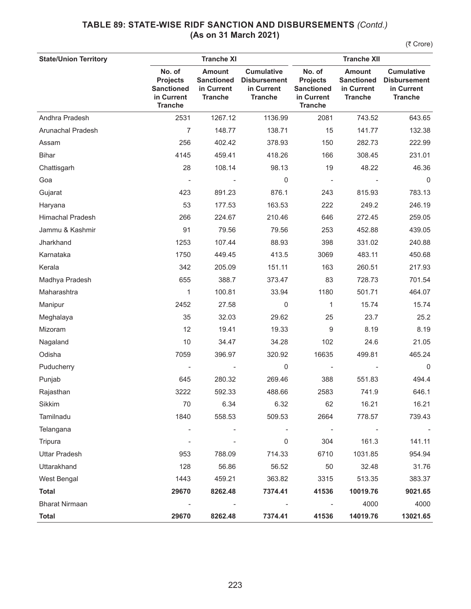| <b>State/Union Territory</b> |                                                                                |                                                                    | <b>Tranche XII</b>                                                       |                                                                                |                                                                    |                                                                          |
|------------------------------|--------------------------------------------------------------------------------|--------------------------------------------------------------------|--------------------------------------------------------------------------|--------------------------------------------------------------------------------|--------------------------------------------------------------------|--------------------------------------------------------------------------|
|                              | No. of<br><b>Projects</b><br><b>Sanctioned</b><br>in Current<br><b>Tranche</b> | <b>Amount</b><br><b>Sanctioned</b><br>in Current<br><b>Tranche</b> | <b>Cumulative</b><br><b>Disbursement</b><br>in Current<br><b>Tranche</b> | No. of<br><b>Projects</b><br><b>Sanctioned</b><br>in Current<br><b>Tranche</b> | <b>Amount</b><br><b>Sanctioned</b><br>in Current<br><b>Tranche</b> | <b>Cumulative</b><br><b>Disbursement</b><br>in Current<br><b>Tranche</b> |
| Andhra Pradesh               | 2531                                                                           | 1267.12                                                            | 1136.99                                                                  | 2081                                                                           | 743.52                                                             | 643.65                                                                   |
| Arunachal Pradesh            | $\overline{7}$                                                                 | 148.77                                                             | 138.71                                                                   | 15                                                                             | 141.77                                                             | 132.38                                                                   |
| Assam                        | 256                                                                            | 402.42                                                             | 378.93                                                                   | 150                                                                            | 282.73                                                             | 222.99                                                                   |
| <b>Bihar</b>                 | 4145                                                                           | 459.41                                                             | 418.26                                                                   | 166                                                                            | 308.45                                                             | 231.01                                                                   |
| Chattisgarh                  | 28                                                                             | 108.14                                                             | 98.13                                                                    | 19                                                                             | 48.22                                                              | 46.36                                                                    |
| Goa                          |                                                                                |                                                                    | $\mathbf 0$                                                              | $\overline{\phantom{a}}$                                                       |                                                                    | $\mathbf 0$                                                              |
| Gujarat                      | 423                                                                            | 891.23                                                             | 876.1                                                                    | 243                                                                            | 815.93                                                             | 783.13                                                                   |
| Haryana                      | 53                                                                             | 177.53                                                             | 163.53                                                                   | 222                                                                            | 249.2                                                              | 246.19                                                                   |
| <b>Himachal Pradesh</b>      | 266                                                                            | 224.67                                                             | 210.46                                                                   | 646                                                                            | 272.45                                                             | 259.05                                                                   |
| Jammu & Kashmir              | 91                                                                             | 79.56                                                              | 79.56                                                                    | 253                                                                            | 452.88                                                             | 439.05                                                                   |
| Jharkhand                    | 1253                                                                           | 107.44                                                             | 88.93                                                                    | 398                                                                            | 331.02                                                             | 240.88                                                                   |
| Karnataka                    | 1750                                                                           | 449.45                                                             | 413.5                                                                    | 3069                                                                           | 483.11                                                             | 450.68                                                                   |
| Kerala                       | 342                                                                            | 205.09                                                             | 151.11                                                                   | 163                                                                            | 260.51                                                             | 217.93                                                                   |
| Madhya Pradesh               | 655                                                                            | 388.7                                                              | 373.47                                                                   | 83                                                                             | 728.73                                                             | 701.54                                                                   |
| Maharashtra                  | 1                                                                              | 100.81                                                             | 33.94                                                                    | 1180                                                                           | 501.71                                                             | 464.07                                                                   |
| Manipur                      | 2452                                                                           | 27.58                                                              | $\mathbf 0$                                                              | 1                                                                              | 15.74                                                              | 15.74                                                                    |
| Meghalaya                    | 35                                                                             | 32.03                                                              | 29.62                                                                    | 25                                                                             | 23.7                                                               | 25.2                                                                     |
| Mizoram                      | 12                                                                             | 19.41                                                              | 19.33                                                                    | 9                                                                              | 8.19                                                               | 8.19                                                                     |
| Nagaland                     | 10                                                                             | 34.47                                                              | 34.28                                                                    | 102                                                                            | 24.6                                                               | 21.05                                                                    |
| Odisha                       | 7059                                                                           | 396.97                                                             | 320.92                                                                   | 16635                                                                          | 499.81                                                             | 465.24                                                                   |
| Puducherry                   |                                                                                |                                                                    | 0                                                                        |                                                                                |                                                                    | 0                                                                        |
| Punjab                       | 645                                                                            | 280.32                                                             | 269.46                                                                   | 388                                                                            | 551.83                                                             | 494.4                                                                    |
| Rajasthan                    | 3222                                                                           | 592.33                                                             | 488.66                                                                   | 2583                                                                           | 741.9                                                              | 646.1                                                                    |
| Sikkim                       | 70                                                                             | 6.34                                                               | 6.32                                                                     | 62                                                                             | 16.21                                                              | 16.21                                                                    |
| Tamilnadu                    | 1840                                                                           | 558.53                                                             | 509.53                                                                   | 2664                                                                           | 778.57                                                             | 739.43                                                                   |
| Telangana                    |                                                                                |                                                                    | $\overline{a}$                                                           | $\overline{\phantom{a}}$                                                       |                                                                    |                                                                          |
| Tripura                      |                                                                                |                                                                    | 0                                                                        | 304                                                                            | 161.3                                                              | 141.11                                                                   |
| <b>Uttar Pradesh</b>         | 953                                                                            | 788.09                                                             | 714.33                                                                   | 6710                                                                           | 1031.85                                                            | 954.94                                                                   |
| Uttarakhand                  | 128                                                                            | 56.86                                                              | 56.52                                                                    | 50                                                                             | 32.48                                                              | 31.76                                                                    |
| West Bengal                  | 1443                                                                           | 459.21                                                             | 363.82                                                                   | 3315                                                                           | 513.35                                                             | 383.37                                                                   |
| <b>Total</b>                 | 29670                                                                          | 8262.48                                                            | 7374.41                                                                  | 41536                                                                          | 10019.76                                                           | 9021.65                                                                  |
| <b>Bharat Nirmaan</b>        |                                                                                |                                                                    |                                                                          |                                                                                | 4000                                                               | 4000                                                                     |
| <b>Total</b>                 | 29670                                                                          | 8262.48                                                            | 7374.41                                                                  | 41536                                                                          | 14019.76                                                           | 13021.65                                                                 |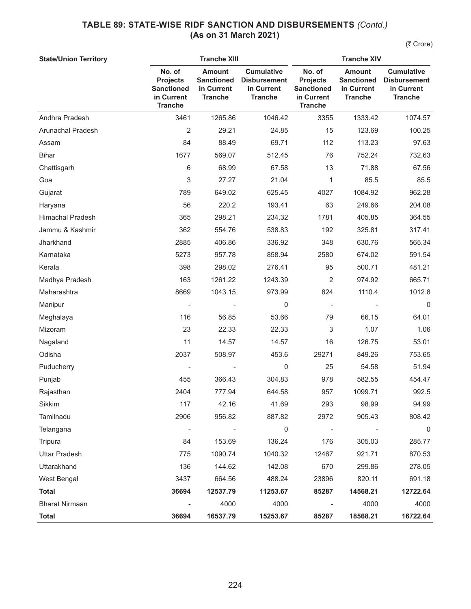| <b>State/Union Territory</b> | <b>Tranche XIII</b>                                                            |                                                                    |                                                                          | <b>Tranche XIV</b>                                                             |                                                                    |                                                                          |  |
|------------------------------|--------------------------------------------------------------------------------|--------------------------------------------------------------------|--------------------------------------------------------------------------|--------------------------------------------------------------------------------|--------------------------------------------------------------------|--------------------------------------------------------------------------|--|
|                              | No. of<br><b>Projects</b><br><b>Sanctioned</b><br>in Current<br><b>Tranche</b> | <b>Amount</b><br><b>Sanctioned</b><br>in Current<br><b>Tranche</b> | <b>Cumulative</b><br><b>Disbursement</b><br>in Current<br><b>Tranche</b> | No. of<br><b>Projects</b><br><b>Sanctioned</b><br>in Current<br><b>Tranche</b> | <b>Amount</b><br><b>Sanctioned</b><br>in Current<br><b>Tranche</b> | <b>Cumulative</b><br><b>Disbursement</b><br>in Current<br><b>Tranche</b> |  |
| Andhra Pradesh               | 3461                                                                           | 1265.86                                                            | 1046.42                                                                  | 3355                                                                           | 1333.42                                                            | 1074.57                                                                  |  |
| Arunachal Pradesh            | $\overline{2}$                                                                 | 29.21                                                              | 24.85                                                                    | 15                                                                             | 123.69                                                             | 100.25                                                                   |  |
| Assam                        | 84                                                                             | 88.49                                                              | 69.71                                                                    | 112                                                                            | 113.23                                                             | 97.63                                                                    |  |
| <b>Bihar</b>                 | 1677                                                                           | 569.07                                                             | 512.45                                                                   | 76                                                                             | 752.24                                                             | 732.63                                                                   |  |
| Chattisgarh                  | 6                                                                              | 68.99                                                              | 67.58                                                                    | 13                                                                             | 71.88                                                              | 67.56                                                                    |  |
| Goa                          | 3                                                                              | 27.27                                                              | 21.04                                                                    | 1                                                                              | 85.5                                                               | 85.5                                                                     |  |
| Gujarat                      | 789                                                                            | 649.02                                                             | 625.45                                                                   | 4027                                                                           | 1084.92                                                            | 962.28                                                                   |  |
| Haryana                      | 56                                                                             | 220.2                                                              | 193.41                                                                   | 63                                                                             | 249.66                                                             | 204.08                                                                   |  |
| <b>Himachal Pradesh</b>      | 365                                                                            | 298.21                                                             | 234.32                                                                   | 1781                                                                           | 405.85                                                             | 364.55                                                                   |  |
| Jammu & Kashmir              | 362                                                                            | 554.76                                                             | 538.83                                                                   | 192                                                                            | 325.81                                                             | 317.41                                                                   |  |
| Jharkhand                    | 2885                                                                           | 406.86                                                             | 336.92                                                                   | 348                                                                            | 630.76                                                             | 565.34                                                                   |  |
| Karnataka                    | 5273                                                                           | 957.78                                                             | 858.94                                                                   | 2580                                                                           | 674.02                                                             | 591.54                                                                   |  |
| Kerala                       | 398                                                                            | 298.02                                                             | 276.41                                                                   | 95                                                                             | 500.71                                                             | 481.21                                                                   |  |
| Madhya Pradesh               | 163                                                                            | 1261.22                                                            | 1243.39                                                                  | 2                                                                              | 974.92                                                             | 665.71                                                                   |  |
| Maharashtra                  | 8669                                                                           | 1043.15                                                            | 973.99                                                                   | 824                                                                            | 1110.4                                                             | 1012.8                                                                   |  |
| Manipur                      |                                                                                |                                                                    | 0                                                                        |                                                                                |                                                                    | $\mathbf 0$                                                              |  |
| Meghalaya                    | 116                                                                            | 56.85                                                              | 53.66                                                                    | 79                                                                             | 66.15                                                              | 64.01                                                                    |  |
| Mizoram                      | 23                                                                             | 22.33                                                              | 22.33                                                                    | 3                                                                              | 1.07                                                               | 1.06                                                                     |  |
| Nagaland                     | 11                                                                             | 14.57                                                              | 14.57                                                                    | 16                                                                             | 126.75                                                             | 53.01                                                                    |  |
| Odisha                       | 2037                                                                           | 508.97                                                             | 453.6                                                                    | 29271                                                                          | 849.26                                                             | 753.65                                                                   |  |
| Puducherry                   |                                                                                |                                                                    | 0                                                                        | 25                                                                             | 54.58                                                              | 51.94                                                                    |  |
| Punjab                       | 455                                                                            | 366.43                                                             | 304.83                                                                   | 978                                                                            | 582.55                                                             | 454.47                                                                   |  |
| Rajasthan                    | 2404                                                                           | 777.94                                                             | 644.58                                                                   | 957                                                                            | 1099.71                                                            | 992.5                                                                    |  |
| Sikkim                       | 117                                                                            | 42.16                                                              | 41.69                                                                    | 293                                                                            | 98.99                                                              | 94.99                                                                    |  |
| Tamilnadu                    | 2906                                                                           | 956.82                                                             | 887.82                                                                   | 2972                                                                           | 905.43                                                             | 808.42                                                                   |  |
| Telangana                    | $\overline{\phantom{a}}$                                                       | $\overline{\phantom{a}}$                                           | $\mathbf 0$                                                              | $\overline{a}$                                                                 |                                                                    | $\mathsf 0$                                                              |  |
| Tripura                      | 84                                                                             | 153.69                                                             | 136.24                                                                   | 176                                                                            | 305.03                                                             | 285.77                                                                   |  |
| <b>Uttar Pradesh</b>         | 775                                                                            | 1090.74                                                            | 1040.32                                                                  | 12467                                                                          | 921.71                                                             | 870.53                                                                   |  |
| Uttarakhand                  | 136                                                                            | 144.62                                                             | 142.08                                                                   | 670                                                                            | 299.86                                                             | 278.05                                                                   |  |
| West Bengal                  | 3437                                                                           | 664.56                                                             | 488.24                                                                   | 23896                                                                          | 820.11                                                             | 691.18                                                                   |  |
| <b>Total</b>                 | 36694                                                                          | 12537.79                                                           | 11253.67                                                                 | 85287                                                                          | 14568.21                                                           | 12722.64                                                                 |  |
| <b>Bharat Nirmaan</b>        |                                                                                | 4000                                                               | 4000                                                                     |                                                                                | 4000                                                               | 4000                                                                     |  |
| <b>Total</b>                 | 36694                                                                          | 16537.79                                                           | 15253.67                                                                 | 85287                                                                          | 18568.21                                                           | 16722.64                                                                 |  |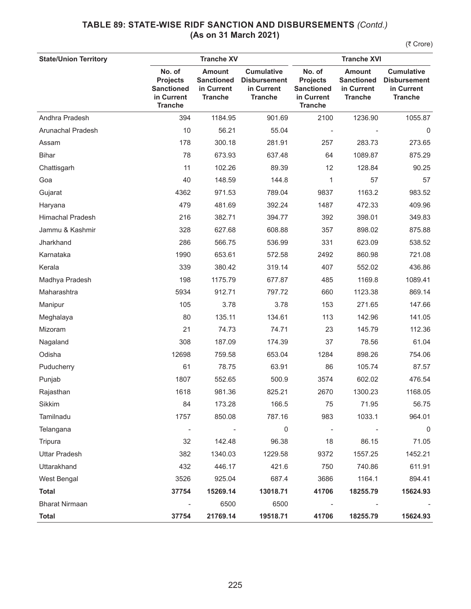| <b>State/Union Territory</b> |                                                                                | <b>Tranche XV</b>                                                  |                                                                          | <b>Tranche XVI</b>                                                             |                                                                    |                                                                          |  |
|------------------------------|--------------------------------------------------------------------------------|--------------------------------------------------------------------|--------------------------------------------------------------------------|--------------------------------------------------------------------------------|--------------------------------------------------------------------|--------------------------------------------------------------------------|--|
|                              | No. of<br><b>Projects</b><br><b>Sanctioned</b><br>in Current<br><b>Tranche</b> | <b>Amount</b><br><b>Sanctioned</b><br>in Current<br><b>Tranche</b> | <b>Cumulative</b><br><b>Disbursement</b><br>in Current<br><b>Tranche</b> | No. of<br><b>Projects</b><br><b>Sanctioned</b><br>in Current<br><b>Tranche</b> | <b>Amount</b><br><b>Sanctioned</b><br>in Current<br><b>Tranche</b> | <b>Cumulative</b><br><b>Disbursement</b><br>in Current<br><b>Tranche</b> |  |
| Andhra Pradesh               | 394                                                                            | 1184.95                                                            | 901.69                                                                   | 2100                                                                           | 1236.90                                                            | 1055.87                                                                  |  |
| Arunachal Pradesh            | 10                                                                             | 56.21                                                              | 55.04                                                                    |                                                                                |                                                                    | 0                                                                        |  |
| Assam                        | 178                                                                            | 300.18                                                             | 281.91                                                                   | 257                                                                            | 283.73                                                             | 273.65                                                                   |  |
| <b>Bihar</b>                 | 78                                                                             | 673.93                                                             | 637.48                                                                   | 64                                                                             | 1089.87                                                            | 875.29                                                                   |  |
| Chattisgarh                  | 11                                                                             | 102.26                                                             | 89.39                                                                    | 12                                                                             | 128.84                                                             | 90.25                                                                    |  |
| Goa                          | 40                                                                             | 148.59                                                             | 144.8                                                                    | 1                                                                              | 57                                                                 | 57                                                                       |  |
| Gujarat                      | 4362                                                                           | 971.53                                                             | 789.04                                                                   | 9837                                                                           | 1163.2                                                             | 983.52                                                                   |  |
| Haryana                      | 479                                                                            | 481.69                                                             | 392.24                                                                   | 1487                                                                           | 472.33                                                             | 409.96                                                                   |  |
| <b>Himachal Pradesh</b>      | 216                                                                            | 382.71                                                             | 394.77                                                                   | 392                                                                            | 398.01                                                             | 349.83                                                                   |  |
| Jammu & Kashmir              | 328                                                                            | 627.68                                                             | 608.88                                                                   | 357                                                                            | 898.02                                                             | 875.88                                                                   |  |
| Jharkhand                    | 286                                                                            | 566.75                                                             | 536.99                                                                   | 331                                                                            | 623.09                                                             | 538.52                                                                   |  |
| Karnataka                    | 1990                                                                           | 653.61                                                             | 572.58                                                                   | 2492                                                                           | 860.98                                                             | 721.08                                                                   |  |
| Kerala                       | 339                                                                            | 380.42                                                             | 319.14                                                                   | 407                                                                            | 552.02                                                             | 436.86                                                                   |  |
| Madhya Pradesh               | 198                                                                            | 1175.79                                                            | 677.87                                                                   | 485                                                                            | 1169.8                                                             | 1089.41                                                                  |  |
| Maharashtra                  | 5934                                                                           | 912.71                                                             | 797.72                                                                   | 660                                                                            | 1123.38                                                            | 869.14                                                                   |  |
| Manipur                      | 105                                                                            | 3.78                                                               | 3.78                                                                     | 153                                                                            | 271.65                                                             | 147.66                                                                   |  |
| Meghalaya                    | 80                                                                             | 135.11                                                             | 134.61                                                                   | 113                                                                            | 142.96                                                             | 141.05                                                                   |  |
| Mizoram                      | 21                                                                             | 74.73                                                              | 74.71                                                                    | 23                                                                             | 145.79                                                             | 112.36                                                                   |  |
| Nagaland                     | 308                                                                            | 187.09                                                             | 174.39                                                                   | 37                                                                             | 78.56                                                              | 61.04                                                                    |  |
| Odisha                       | 12698                                                                          | 759.58                                                             | 653.04                                                                   | 1284                                                                           | 898.26                                                             | 754.06                                                                   |  |
| Puducherry                   | 61                                                                             | 78.75                                                              | 63.91                                                                    | 86                                                                             | 105.74                                                             | 87.57                                                                    |  |
| Punjab                       | 1807                                                                           | 552.65                                                             | 500.9                                                                    | 3574                                                                           | 602.02                                                             | 476.54                                                                   |  |
| Rajasthan                    | 1618                                                                           | 981.36                                                             | 825.21                                                                   | 2670                                                                           | 1300.23                                                            | 1168.05                                                                  |  |
| Sikkim                       | 84                                                                             | 173.28                                                             | 166.5                                                                    | 75                                                                             | 71.95                                                              | 56.75                                                                    |  |
| Tamilnadu                    | 1757                                                                           | 850.08                                                             | 787.16                                                                   | 983                                                                            | 1033.1                                                             | 964.01                                                                   |  |
| Telangana                    |                                                                                |                                                                    | $\mathbf 0$                                                              | $\overline{\phantom{m}}$                                                       |                                                                    | 0                                                                        |  |
| Tripura                      | 32                                                                             | 142.48                                                             | 96.38                                                                    | 18                                                                             | 86.15                                                              | 71.05                                                                    |  |
| <b>Uttar Pradesh</b>         | 382                                                                            | 1340.03                                                            | 1229.58                                                                  | 9372                                                                           | 1557.25                                                            | 1452.21                                                                  |  |
| Uttarakhand                  | 432                                                                            | 446.17                                                             | 421.6                                                                    | 750                                                                            | 740.86                                                             | 611.91                                                                   |  |
| West Bengal                  | 3526                                                                           | 925.04                                                             | 687.4                                                                    | 3686                                                                           | 1164.1                                                             | 894.41                                                                   |  |
| <b>Total</b>                 | 37754                                                                          | 15269.14                                                           | 13018.71                                                                 | 41706                                                                          | 18255.79                                                           | 15624.93                                                                 |  |
| <b>Bharat Nirmaan</b>        |                                                                                | 6500                                                               | 6500                                                                     |                                                                                |                                                                    |                                                                          |  |
| <b>Total</b>                 | 37754                                                                          | 21769.14                                                           | 19518.71                                                                 | 41706                                                                          | 18255.79                                                           | 15624.93                                                                 |  |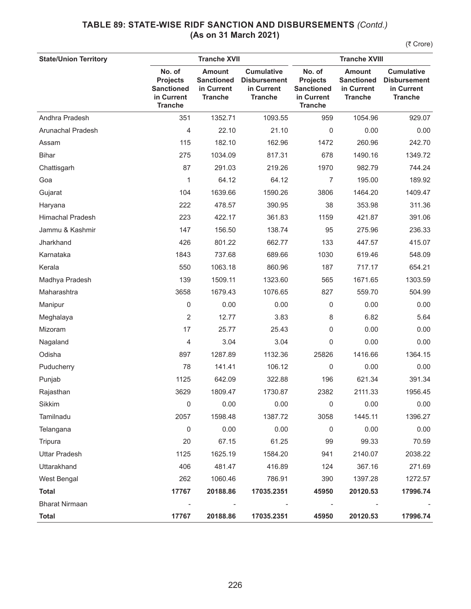| <b>State/Union Territory</b> |                                                                                | <b>Tranche XVII</b>                                                |                                                                          | <b>Tranche XVIII</b>                                                           |                                                                    |                                                                          |  |
|------------------------------|--------------------------------------------------------------------------------|--------------------------------------------------------------------|--------------------------------------------------------------------------|--------------------------------------------------------------------------------|--------------------------------------------------------------------|--------------------------------------------------------------------------|--|
|                              | No. of<br><b>Projects</b><br><b>Sanctioned</b><br>in Current<br><b>Tranche</b> | <b>Amount</b><br><b>Sanctioned</b><br>in Current<br><b>Tranche</b> | <b>Cumulative</b><br><b>Disbursement</b><br>in Current<br><b>Tranche</b> | No. of<br><b>Projects</b><br><b>Sanctioned</b><br>in Current<br><b>Tranche</b> | <b>Amount</b><br><b>Sanctioned</b><br>in Current<br><b>Tranche</b> | <b>Cumulative</b><br><b>Disbursement</b><br>in Current<br><b>Tranche</b> |  |
| Andhra Pradesh               | 351                                                                            | 1352.71                                                            | 1093.55                                                                  | 959                                                                            | 1054.96                                                            | 929.07                                                                   |  |
| Arunachal Pradesh            | 4                                                                              | 22.10                                                              | 21.10                                                                    | 0                                                                              | 0.00                                                               | 0.00                                                                     |  |
| Assam                        | 115                                                                            | 182.10                                                             | 162.96                                                                   | 1472                                                                           | 260.96                                                             | 242.70                                                                   |  |
| <b>Bihar</b>                 | 275                                                                            | 1034.09                                                            | 817.31                                                                   | 678                                                                            | 1490.16                                                            | 1349.72                                                                  |  |
| Chattisgarh                  | 87                                                                             | 291.03                                                             | 219.26                                                                   | 1970                                                                           | 982.79                                                             | 744.24                                                                   |  |
| Goa                          | 1                                                                              | 64.12                                                              | 64.12                                                                    | 7                                                                              | 195.00                                                             | 189.92                                                                   |  |
| Gujarat                      | 104                                                                            | 1639.66                                                            | 1590.26                                                                  | 3806                                                                           | 1464.20                                                            | 1409.47                                                                  |  |
| Haryana                      | 222                                                                            | 478.57                                                             | 390.95                                                                   | 38                                                                             | 353.98                                                             | 311.36                                                                   |  |
| <b>Himachal Pradesh</b>      | 223                                                                            | 422.17                                                             | 361.83                                                                   | 1159                                                                           | 421.87                                                             | 391.06                                                                   |  |
| Jammu & Kashmir              | 147                                                                            | 156.50                                                             | 138.74                                                                   | 95                                                                             | 275.96                                                             | 236.33                                                                   |  |
| Jharkhand                    | 426                                                                            | 801.22                                                             | 662.77                                                                   | 133                                                                            | 447.57                                                             | 415.07                                                                   |  |
| Karnataka                    | 1843                                                                           | 737.68                                                             | 689.66                                                                   | 1030                                                                           | 619.46                                                             | 548.09                                                                   |  |
| Kerala                       | 550                                                                            | 1063.18                                                            | 860.96                                                                   | 187                                                                            | 717.17                                                             | 654.21                                                                   |  |
| Madhya Pradesh               | 139                                                                            | 1509.11                                                            | 1323.60                                                                  | 565                                                                            | 1671.65                                                            | 1303.59                                                                  |  |
| Maharashtra                  | 3658                                                                           | 1679.43                                                            | 1076.65                                                                  | 827                                                                            | 559.70                                                             | 504.99                                                                   |  |
| Manipur                      | 0                                                                              | 0.00                                                               | 0.00                                                                     | 0                                                                              | 0.00                                                               | 0.00                                                                     |  |
| Meghalaya                    | 2                                                                              | 12.77                                                              | 3.83                                                                     | 8                                                                              | 6.82                                                               | 5.64                                                                     |  |
| Mizoram                      | 17                                                                             | 25.77                                                              | 25.43                                                                    | 0                                                                              | 0.00                                                               | 0.00                                                                     |  |
| Nagaland                     | 4                                                                              | 3.04                                                               | 3.04                                                                     | $\mathbf 0$                                                                    | 0.00                                                               | 0.00                                                                     |  |
| Odisha                       | 897                                                                            | 1287.89                                                            | 1132.36                                                                  | 25826                                                                          | 1416.66                                                            | 1364.15                                                                  |  |
| Puducherry                   | 78                                                                             | 141.41                                                             | 106.12                                                                   | 0                                                                              | 0.00                                                               | 0.00                                                                     |  |
| Punjab                       | 1125                                                                           | 642.09                                                             | 322.88                                                                   | 196                                                                            | 621.34                                                             | 391.34                                                                   |  |
| Rajasthan                    | 3629                                                                           | 1809.47                                                            | 1730.87                                                                  | 2382                                                                           | 2111.33                                                            | 1956.45                                                                  |  |
| Sikkim                       | 0                                                                              | 0.00                                                               | 0.00                                                                     | 0                                                                              | 0.00                                                               | 0.00                                                                     |  |
| Tamilnadu                    | 2057                                                                           | 1598.48                                                            | 1387.72                                                                  | 3058                                                                           | 1445.11                                                            | 1396.27                                                                  |  |
| Telangana                    | $\mathbf 0$                                                                    | 0.00                                                               | 0.00                                                                     | 0                                                                              | 0.00                                                               | 0.00                                                                     |  |
| Tripura                      | 20                                                                             | 67.15                                                              | 61.25                                                                    | 99                                                                             | 99.33                                                              | 70.59                                                                    |  |
| <b>Uttar Pradesh</b>         | 1125                                                                           | 1625.19                                                            | 1584.20                                                                  | 941                                                                            | 2140.07                                                            | 2038.22                                                                  |  |
| Uttarakhand                  | 406                                                                            | 481.47                                                             | 416.89                                                                   | 124                                                                            | 367.16                                                             | 271.69                                                                   |  |
| West Bengal                  | 262                                                                            | 1060.46                                                            | 786.91                                                                   | 390                                                                            | 1397.28                                                            | 1272.57                                                                  |  |
| <b>Total</b>                 | 17767                                                                          | 20188.86                                                           | 17035.2351                                                               | 45950                                                                          | 20120.53                                                           | 17996.74                                                                 |  |
| <b>Bharat Nirmaan</b>        | $\overline{\phantom{a}}$                                                       |                                                                    |                                                                          |                                                                                |                                                                    |                                                                          |  |
| <b>Total</b>                 | 17767                                                                          | 20188.86                                                           | 17035.2351                                                               | 45950                                                                          | 20120.53                                                           | 17996.74                                                                 |  |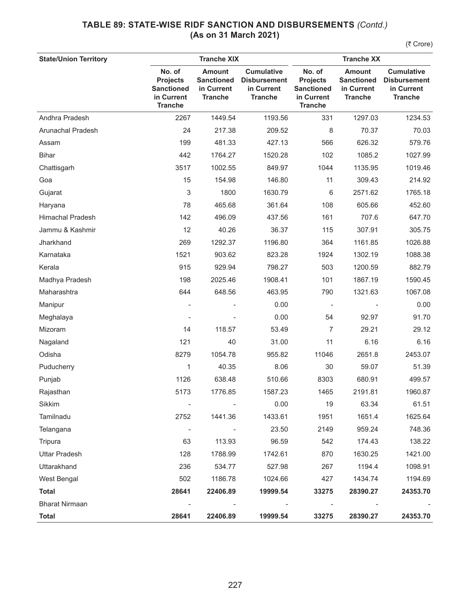| <b>State/Union Territory</b> |                                                                                | <b>Tranche XIX</b>                                                 | <b>Tranche XX</b>                                                        |                                                                                |                                                                    |                                                                          |
|------------------------------|--------------------------------------------------------------------------------|--------------------------------------------------------------------|--------------------------------------------------------------------------|--------------------------------------------------------------------------------|--------------------------------------------------------------------|--------------------------------------------------------------------------|
|                              | No. of<br><b>Projects</b><br><b>Sanctioned</b><br>in Current<br><b>Tranche</b> | <b>Amount</b><br><b>Sanctioned</b><br>in Current<br><b>Tranche</b> | <b>Cumulative</b><br><b>Disbursement</b><br>in Current<br><b>Tranche</b> | No. of<br><b>Projects</b><br><b>Sanctioned</b><br>in Current<br><b>Tranche</b> | <b>Amount</b><br><b>Sanctioned</b><br>in Current<br><b>Tranche</b> | <b>Cumulative</b><br><b>Disbursement</b><br>in Current<br><b>Tranche</b> |
| Andhra Pradesh               | 2267                                                                           | 1449.54                                                            | 1193.56                                                                  | 331                                                                            | 1297.03                                                            | 1234.53                                                                  |
| Arunachal Pradesh            | 24                                                                             | 217.38                                                             | 209.52                                                                   | 8                                                                              | 70.37                                                              | 70.03                                                                    |
| Assam                        | 199                                                                            | 481.33                                                             | 427.13                                                                   | 566                                                                            | 626.32                                                             | 579.76                                                                   |
| <b>Bihar</b>                 | 442                                                                            | 1764.27                                                            | 1520.28                                                                  | 102                                                                            | 1085.2                                                             | 1027.99                                                                  |
| Chattisgarh                  | 3517                                                                           | 1002.55                                                            | 849.97                                                                   | 1044                                                                           | 1135.95                                                            | 1019.46                                                                  |
| Goa                          | 15                                                                             | 154.98                                                             | 146.80                                                                   | 11                                                                             | 309.43                                                             | 214.92                                                                   |
| Gujarat                      | 3                                                                              | 1800                                                               | 1630.79                                                                  | 6                                                                              | 2571.62                                                            | 1765.18                                                                  |
| Haryana                      | 78                                                                             | 465.68                                                             | 361.64                                                                   | 108                                                                            | 605.66                                                             | 452.60                                                                   |
| <b>Himachal Pradesh</b>      | 142                                                                            | 496.09                                                             | 437.56                                                                   | 161                                                                            | 707.6                                                              | 647.70                                                                   |
| Jammu & Kashmir              | 12                                                                             | 40.26                                                              | 36.37                                                                    | 115                                                                            | 307.91                                                             | 305.75                                                                   |
| Jharkhand                    | 269                                                                            | 1292.37                                                            | 1196.80                                                                  | 364                                                                            | 1161.85                                                            | 1026.88                                                                  |
| Karnataka                    | 1521                                                                           | 903.62                                                             | 823.28                                                                   | 1924                                                                           | 1302.19                                                            | 1088.38                                                                  |
| Kerala                       | 915                                                                            | 929.94                                                             | 798.27                                                                   | 503                                                                            | 1200.59                                                            | 882.79                                                                   |
| Madhya Pradesh               | 198                                                                            | 2025.46                                                            | 1908.41                                                                  | 101                                                                            | 1867.19                                                            | 1590.45                                                                  |
| Maharashtra                  | 644                                                                            | 648.56                                                             | 463.95                                                                   | 790                                                                            | 1321.63                                                            | 1067.08                                                                  |
| Manipur                      |                                                                                |                                                                    | 0.00                                                                     |                                                                                |                                                                    | 0.00                                                                     |
| Meghalaya                    |                                                                                |                                                                    | 0.00                                                                     | 54                                                                             | 92.97                                                              | 91.70                                                                    |
| Mizoram                      | 14                                                                             | 118.57                                                             | 53.49                                                                    | 7                                                                              | 29.21                                                              | 29.12                                                                    |
| Nagaland                     | 121                                                                            | 40                                                                 | 31.00                                                                    | 11                                                                             | 6.16                                                               | 6.16                                                                     |
| Odisha                       | 8279                                                                           | 1054.78                                                            | 955.82                                                                   | 11046                                                                          | 2651.8                                                             | 2453.07                                                                  |
| Puducherry                   | 1                                                                              | 40.35                                                              | 8.06                                                                     | 30                                                                             | 59.07                                                              | 51.39                                                                    |
| Punjab                       | 1126                                                                           | 638.48                                                             | 510.66                                                                   | 8303                                                                           | 680.91                                                             | 499.57                                                                   |
| Rajasthan                    | 5173                                                                           | 1776.85                                                            | 1587.23                                                                  | 1465                                                                           | 2191.81                                                            | 1960.87                                                                  |
| Sikkim                       |                                                                                |                                                                    | 0.00                                                                     | 19                                                                             | 63.34                                                              | 61.51                                                                    |
| Tamilnadu                    | 2752                                                                           | 1441.36                                                            | 1433.61                                                                  | 1951                                                                           | 1651.4                                                             | 1625.64                                                                  |
| Telangana                    | $\overline{\phantom{a}}$                                                       |                                                                    | 23.50                                                                    | 2149                                                                           | 959.24                                                             | 748.36                                                                   |
| Tripura                      | 63                                                                             | 113.93                                                             | 96.59                                                                    | 542                                                                            | 174.43                                                             | 138.22                                                                   |
| <b>Uttar Pradesh</b>         | 128                                                                            | 1788.99                                                            | 1742.61                                                                  | 870                                                                            | 1630.25                                                            | 1421.00                                                                  |
| Uttarakhand                  | 236                                                                            | 534.77                                                             | 527.98                                                                   | 267                                                                            | 1194.4                                                             | 1098.91                                                                  |
| West Bengal                  | 502                                                                            | 1186.78                                                            | 1024.66                                                                  | 427                                                                            | 1434.74                                                            | 1194.69                                                                  |
| <b>Total</b>                 | 28641                                                                          | 22406.89                                                           | 19999.54                                                                 | 33275                                                                          | 28390.27                                                           | 24353.70                                                                 |
| <b>Bharat Nirmaan</b>        |                                                                                |                                                                    |                                                                          |                                                                                |                                                                    |                                                                          |
| <b>Total</b>                 | 28641                                                                          | 22406.89                                                           | 19999.54                                                                 | 33275                                                                          | 28390.27                                                           | 24353.70                                                                 |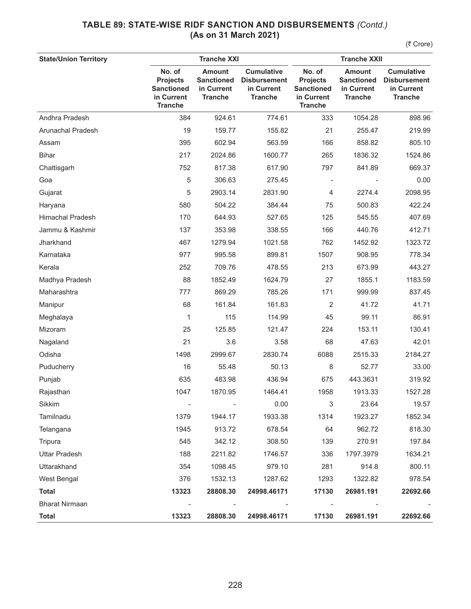| <b>Tranche XXI</b><br><b>State/Union Territory</b> |                                                                                |                                                                    |                                                                          | <b>Tranche XXII</b>                                                            |                                                                    |                                                                          |  |
|----------------------------------------------------|--------------------------------------------------------------------------------|--------------------------------------------------------------------|--------------------------------------------------------------------------|--------------------------------------------------------------------------------|--------------------------------------------------------------------|--------------------------------------------------------------------------|--|
|                                                    | No. of<br><b>Projects</b><br><b>Sanctioned</b><br>in Current<br><b>Tranche</b> | <b>Amount</b><br><b>Sanctioned</b><br>in Current<br><b>Tranche</b> | <b>Cumulative</b><br><b>Disbursement</b><br>in Current<br><b>Tranche</b> | No. of<br><b>Projects</b><br><b>Sanctioned</b><br>in Current<br><b>Tranche</b> | <b>Amount</b><br><b>Sanctioned</b><br>in Current<br><b>Tranche</b> | <b>Cumulative</b><br><b>Disbursement</b><br>in Current<br><b>Tranche</b> |  |
| Andhra Pradesh                                     | 384                                                                            | 924.61                                                             | 774.61                                                                   | 333                                                                            | 1054.28                                                            | 898.96                                                                   |  |
| Arunachal Pradesh                                  | 19                                                                             | 159.77                                                             | 155.82                                                                   | 21                                                                             | 255.47                                                             | 219.99                                                                   |  |
| Assam                                              | 395                                                                            | 602.94                                                             | 563.59                                                                   | 166                                                                            | 858.82                                                             | 805.10                                                                   |  |
| <b>Bihar</b>                                       | 217                                                                            | 2024.86                                                            | 1600.77                                                                  | 265                                                                            | 1836.32                                                            | 1524.86                                                                  |  |
| Chattisgarh                                        | 752                                                                            | 817.38                                                             | 617.90                                                                   | 797                                                                            | 841.89                                                             | 669.37                                                                   |  |
| Goa                                                | 5                                                                              | 306.63                                                             | 275.45                                                                   |                                                                                |                                                                    | 0.00                                                                     |  |
| Gujarat                                            | 5                                                                              | 2903.14                                                            | 2831.90                                                                  | 4                                                                              | 2274.4                                                             | 2098.95                                                                  |  |
| Haryana                                            | 580                                                                            | 504.22                                                             | 384.44                                                                   | 75                                                                             | 500.83                                                             | 422.24                                                                   |  |
| <b>Himachal Pradesh</b>                            | 170                                                                            | 644.93                                                             | 527.65                                                                   | 125                                                                            | 545.55                                                             | 407.69                                                                   |  |
| Jammu & Kashmir                                    | 137                                                                            | 353.98                                                             | 338.55                                                                   | 166                                                                            | 440.76                                                             | 412.71                                                                   |  |
| Jharkhand                                          | 467                                                                            | 1279.94                                                            | 1021.58                                                                  | 762                                                                            | 1452.92                                                            | 1323.72                                                                  |  |
| Karnataka                                          | 977                                                                            | 995.58                                                             | 899.81                                                                   | 1507                                                                           | 908.95                                                             | 778.34                                                                   |  |
| Kerala                                             | 252                                                                            | 709.76                                                             | 478.55                                                                   | 213                                                                            | 673.99                                                             | 443.27                                                                   |  |
| Madhya Pradesh                                     | 88                                                                             | 1852.49                                                            | 1624.79                                                                  | 27                                                                             | 1855.1                                                             | 1183.59                                                                  |  |
| Maharashtra                                        | 777                                                                            | 869.29                                                             | 785.26                                                                   | 171                                                                            | 999.99                                                             | 837.45                                                                   |  |
| Manipur                                            | 68                                                                             | 161.84                                                             | 161.83                                                                   | $\overline{2}$                                                                 | 41.72                                                              | 41.71                                                                    |  |
| Meghalaya                                          | 1                                                                              | 115                                                                | 114.99                                                                   | 45                                                                             | 99.11                                                              | 86.91                                                                    |  |
| Mizoram                                            | 25                                                                             | 125.85                                                             | 121.47                                                                   | 224                                                                            | 153.11                                                             | 130.41                                                                   |  |
| Nagaland                                           | 21                                                                             | 3.6                                                                | 3.58                                                                     | 68                                                                             | 47.63                                                              | 42.01                                                                    |  |
| Odisha                                             | 1498                                                                           | 2999.67                                                            | 2830.74                                                                  | 6088                                                                           | 2515.33                                                            | 2184.27                                                                  |  |
| Puducherry                                         | 16                                                                             | 55.48                                                              | 50.13                                                                    | 8                                                                              | 52.77                                                              | 33.00                                                                    |  |
| Punjab                                             | 635                                                                            | 483.98                                                             | 436.94                                                                   | 675                                                                            | 443.3631                                                           | 319.92                                                                   |  |
| Rajasthan                                          | 1047                                                                           | 1870.95                                                            | 1464.41                                                                  | 1958                                                                           | 1913.33                                                            | 1527.28                                                                  |  |
| Sikkim                                             | $\qquad \qquad -$                                                              |                                                                    | 0.00                                                                     | 3                                                                              | 23.64                                                              | 19.57                                                                    |  |
| Tamilnadu                                          | 1379                                                                           | 1944.17                                                            | 1933.38                                                                  | 1314                                                                           | 1923.27                                                            | 1852.34                                                                  |  |
| Telangana                                          | 1945                                                                           | 913.72                                                             | 678.54                                                                   | 64                                                                             | 962.72                                                             | 818.30                                                                   |  |
| Tripura                                            | 545                                                                            | 342.12                                                             | 308.50                                                                   | 139                                                                            | 270.91                                                             | 197.84                                                                   |  |
| <b>Uttar Pradesh</b>                               | 188                                                                            | 2211.82                                                            | 1746.57                                                                  | 336                                                                            | 1797.3979                                                          | 1634.21                                                                  |  |
| Uttarakhand                                        | 354                                                                            | 1098.45                                                            | 979.10                                                                   | 281                                                                            | 914.8                                                              | 800.11                                                                   |  |
| West Bengal                                        | 376                                                                            | 1532.13                                                            | 1287.62                                                                  | 1293                                                                           | 1322.82                                                            | 978.54                                                                   |  |
| <b>Total</b>                                       | 13323                                                                          | 28808.30                                                           | 24998.46171                                                              | 17130                                                                          | 26981.191                                                          | 22692.66                                                                 |  |
| <b>Bharat Nirmaan</b>                              |                                                                                |                                                                    |                                                                          |                                                                                |                                                                    |                                                                          |  |
| <b>Total</b>                                       | 13323                                                                          | 28808.30                                                           | 24998.46171                                                              | 17130                                                                          | 26981.191                                                          | 22692.66                                                                 |  |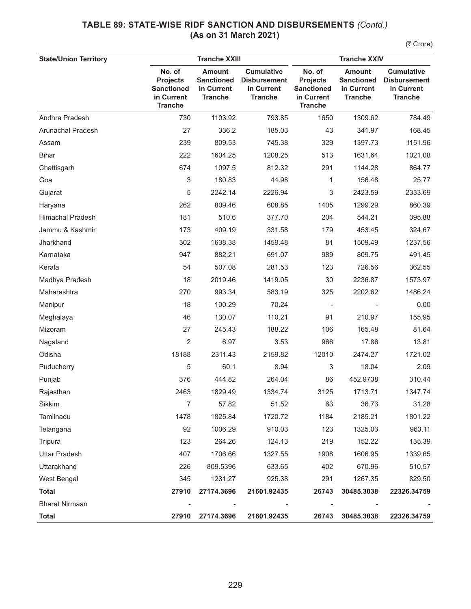| <b>State/Union Territory</b> |                                                                                | <b>Tranche XXIII</b>                                               |                                                                          | <b>Tranche XXIV</b>                                                            |                                                                    |                                                                          |  |
|------------------------------|--------------------------------------------------------------------------------|--------------------------------------------------------------------|--------------------------------------------------------------------------|--------------------------------------------------------------------------------|--------------------------------------------------------------------|--------------------------------------------------------------------------|--|
|                              | No. of<br><b>Projects</b><br><b>Sanctioned</b><br>in Current<br><b>Tranche</b> | <b>Amount</b><br><b>Sanctioned</b><br>in Current<br><b>Tranche</b> | <b>Cumulative</b><br><b>Disbursement</b><br>in Current<br><b>Tranche</b> | No. of<br><b>Projects</b><br><b>Sanctioned</b><br>in Current<br><b>Tranche</b> | <b>Amount</b><br><b>Sanctioned</b><br>in Current<br><b>Tranche</b> | <b>Cumulative</b><br><b>Disbursement</b><br>in Current<br><b>Tranche</b> |  |
| Andhra Pradesh               | 730                                                                            | 1103.92                                                            | 793.85                                                                   | 1650                                                                           | 1309.62                                                            | 784.49                                                                   |  |
| Arunachal Pradesh            | 27                                                                             | 336.2                                                              | 185.03                                                                   | 43                                                                             | 341.97                                                             | 168.45                                                                   |  |
| Assam                        | 239                                                                            | 809.53                                                             | 745.38                                                                   | 329                                                                            | 1397.73                                                            | 1151.96                                                                  |  |
| <b>Bihar</b>                 | 222                                                                            | 1604.25                                                            | 1208.25                                                                  | 513                                                                            | 1631.64                                                            | 1021.08                                                                  |  |
| Chattisgarh                  | 674                                                                            | 1097.5                                                             | 812.32                                                                   | 291                                                                            | 1144.28                                                            | 864.77                                                                   |  |
| Goa                          | 3                                                                              | 180.83                                                             | 44.98                                                                    | 1                                                                              | 156.48                                                             | 25.77                                                                    |  |
| Gujarat                      | 5                                                                              | 2242.14                                                            | 2226.94                                                                  | 3                                                                              | 2423.59                                                            | 2333.69                                                                  |  |
| Haryana                      | 262                                                                            | 809.46                                                             | 608.85                                                                   | 1405                                                                           | 1299.29                                                            | 860.39                                                                   |  |
| <b>Himachal Pradesh</b>      | 181                                                                            | 510.6                                                              | 377.70                                                                   | 204                                                                            | 544.21                                                             | 395.88                                                                   |  |
| Jammu & Kashmir              | 173                                                                            | 409.19                                                             | 331.58                                                                   | 179                                                                            | 453.45                                                             | 324.67                                                                   |  |
| Jharkhand                    | 302                                                                            | 1638.38                                                            | 1459.48                                                                  | 81                                                                             | 1509.49                                                            | 1237.56                                                                  |  |
| Karnataka                    | 947                                                                            | 882.21                                                             | 691.07                                                                   | 989                                                                            | 809.75                                                             | 491.45                                                                   |  |
| Kerala                       | 54                                                                             | 507.08                                                             | 281.53                                                                   | 123                                                                            | 726.56                                                             | 362.55                                                                   |  |
| Madhya Pradesh               | 18                                                                             | 2019.46                                                            | 1419.05                                                                  | 30                                                                             | 2236.87                                                            | 1573.97                                                                  |  |
| Maharashtra                  | 270                                                                            | 993.34                                                             | 583.19                                                                   | 325                                                                            | 2202.62                                                            | 1486.24                                                                  |  |
| Manipur                      | 18                                                                             | 100.29                                                             | 70.24                                                                    |                                                                                |                                                                    | 0.00                                                                     |  |
| Meghalaya                    | 46                                                                             | 130.07                                                             | 110.21                                                                   | 91                                                                             | 210.97                                                             | 155.95                                                                   |  |
| Mizoram                      | 27                                                                             | 245.43                                                             | 188.22                                                                   | 106                                                                            | 165.48                                                             | 81.64                                                                    |  |
| Nagaland                     | $\overline{2}$                                                                 | 6.97                                                               | 3.53                                                                     | 966                                                                            | 17.86                                                              | 13.81                                                                    |  |
| Odisha                       | 18188                                                                          | 2311.43                                                            | 2159.82                                                                  | 12010                                                                          | 2474.27                                                            | 1721.02                                                                  |  |
| Puducherry                   | 5                                                                              | 60.1                                                               | 8.94                                                                     | 3                                                                              | 18.04                                                              | 2.09                                                                     |  |
| Punjab                       | 376                                                                            | 444.82                                                             | 264.04                                                                   | 86                                                                             | 452.9738                                                           | 310.44                                                                   |  |
| Rajasthan                    | 2463                                                                           | 1829.49                                                            | 1334.74                                                                  | 3125                                                                           | 1713.71                                                            | 1347.74                                                                  |  |
| Sikkim                       | $\overline{7}$                                                                 | 57.82                                                              | 51.52                                                                    | 63                                                                             | 36.73                                                              | 31.28                                                                    |  |
| Tamilnadu                    | 1478                                                                           | 1825.84                                                            | 1720.72                                                                  | 1184                                                                           | 2185.21                                                            | 1801.22                                                                  |  |
| Telangana                    | 92                                                                             | 1006.29                                                            | 910.03                                                                   | 123                                                                            | 1325.03                                                            | 963.11                                                                   |  |
| Tripura                      | 123                                                                            | 264.26                                                             | 124.13                                                                   | 219                                                                            | 152.22                                                             | 135.39                                                                   |  |
| <b>Uttar Pradesh</b>         | 407                                                                            | 1706.66                                                            | 1327.55                                                                  | 1908                                                                           | 1606.95                                                            | 1339.65                                                                  |  |
| Uttarakhand                  | 226                                                                            | 809.5396                                                           | 633.65                                                                   | 402                                                                            | 670.96                                                             | 510.57                                                                   |  |
| West Bengal                  | 345                                                                            | 1231.27                                                            | 925.38                                                                   | 291                                                                            | 1267.35                                                            | 829.50                                                                   |  |
| <b>Total</b>                 | 27910                                                                          | 27174.3696                                                         | 21601.92435                                                              | 26743                                                                          | 30485.3038                                                         | 22326.34759                                                              |  |
| <b>Bharat Nirmaan</b>        |                                                                                |                                                                    |                                                                          |                                                                                |                                                                    |                                                                          |  |
| <b>Total</b>                 | 27910                                                                          | 27174.3696                                                         | 21601.92435                                                              | 26743                                                                          | 30485.3038                                                         | 22326.34759                                                              |  |